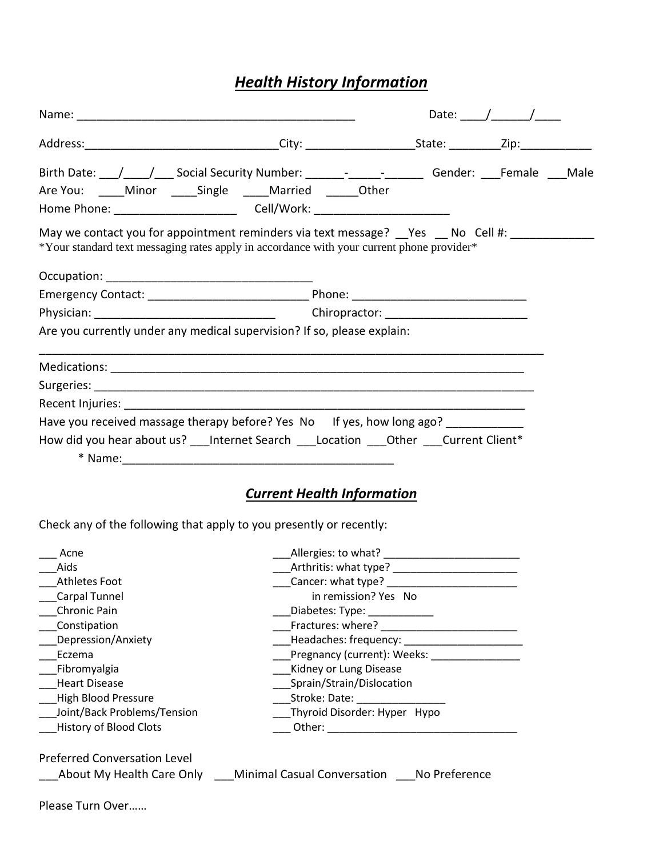## *Health History Information*

|                                                                                                                                                                            |                                   |  | Date: $/$ / |  |
|----------------------------------------------------------------------------------------------------------------------------------------------------------------------------|-----------------------------------|--|-------------|--|
|                                                                                                                                                                            |                                   |  |             |  |
|                                                                                                                                                                            |                                   |  |             |  |
| Are You: _____ Minor _____ Single _____ Married ______ Other                                                                                                               |                                   |  |             |  |
|                                                                                                                                                                            |                                   |  |             |  |
| May we contact you for appointment reminders via text message? Yes No Cell #:<br>*Your standard text messaging rates apply in accordance with your current phone provider* |                                   |  |             |  |
|                                                                                                                                                                            |                                   |  |             |  |
|                                                                                                                                                                            |                                   |  |             |  |
|                                                                                                                                                                            |                                   |  |             |  |
| Are you currently under any medical supervision? If so, please explain:                                                                                                    |                                   |  |             |  |
|                                                                                                                                                                            |                                   |  |             |  |
|                                                                                                                                                                            |                                   |  |             |  |
|                                                                                                                                                                            |                                   |  |             |  |
| Have you received massage therapy before? Yes No If yes, how long ago? __________                                                                                          |                                   |  |             |  |
| How did you hear about us? ___ Internet Search ____Location ____Other ____Current Client*                                                                                  |                                   |  |             |  |
|                                                                                                                                                                            |                                   |  |             |  |
|                                                                                                                                                                            | <b>Current Health Information</b> |  |             |  |

Check any of the following that apply to you presently or recently:

| Acne                          | Allergies: to what?          |
|-------------------------------|------------------------------|
| Aids                          | Arthritis: what type?        |
| Athletes Foot                 | Cancer: what type?           |
| Carpal Tunnel                 | in remission? Yes No         |
| Chronic Pain                  | Diabetes: Type:              |
| Constipation                  | Fractures: where?            |
| Depression/Anxiety            | Headaches: frequency:        |
| Eczema                        | Pregnancy (current): Weeks:  |
| Fibromyalgia                  | Kidney or Lung Disease       |
| <b>Heart Disease</b>          | Sprain/Strain/Dislocation    |
| <b>High Blood Pressure</b>    | Stroke: Date:                |
| Joint/Back Problems/Tension   | Thyroid Disorder: Hyper Hypo |
| <b>History of Blood Clots</b> | Other:                       |
|                               |                              |

Preferred Conversation Level

| About My Health Care Only | <b>Minimal Casual Conversation</b> | No Preference |
|---------------------------|------------------------------------|---------------|
|                           |                                    |               |

Please Turn Over……